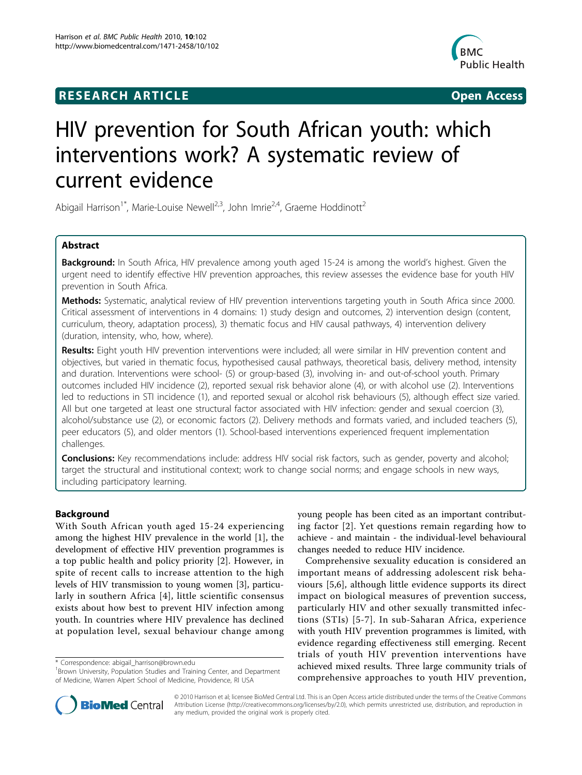## **RESEARCH ARTICLE Example 2018 CONSIDERING ACCESS**



# HIV prevention for South African youth: which interventions work? A systematic review of current evidence

Abigail Harrison<sup>1\*</sup>, Marie-Louise Newell<sup>2,3</sup>, John Imrie<sup>2,4</sup>, Graeme Hoddinott<sup>2</sup>

## Abstract

Background: In South Africa, HIV prevalence among youth aged 15-24 is among the world's highest. Given the urgent need to identify effective HIV prevention approaches, this review assesses the evidence base for youth HIV prevention in South Africa.

Methods: Systematic, analytical review of HIV prevention interventions targeting youth in South Africa since 2000. Critical assessment of interventions in 4 domains: 1) study design and outcomes, 2) intervention design (content, curriculum, theory, adaptation process), 3) thematic focus and HIV causal pathways, 4) intervention delivery (duration, intensity, who, how, where).

Results: Eight youth HIV prevention interventions were included; all were similar in HIV prevention content and objectives, but varied in thematic focus, hypothesised causal pathways, theoretical basis, delivery method, intensity and duration. Interventions were school- (5) or group-based (3), involving in- and out-of-school youth. Primary outcomes included HIV incidence (2), reported sexual risk behavior alone (4), or with alcohol use (2). Interventions led to reductions in STI incidence (1), and reported sexual or alcohol risk behaviours (5), although effect size varied. All but one targeted at least one structural factor associated with HIV infection: gender and sexual coercion (3), alcohol/substance use (2), or economic factors (2). Delivery methods and formats varied, and included teachers (5), peer educators (5), and older mentors (1). School-based interventions experienced frequent implementation challenges.

**Conclusions:** Key recommendations include: address HIV social risk factors, such as gender, poverty and alcohol; target the structural and institutional context; work to change social norms; and engage schools in new ways, including participatory learning.

## Background

With South African youth aged 15-24 experiencing among the highest HIV prevalence in the world [[1\]](#page-9-0), the development of effective HIV prevention programmes is a top public health and policy priority [[2\]](#page-9-0). However, in spite of recent calls to increase attention to the high levels of HIV transmission to young women [[3\]](#page-9-0), particularly in southern Africa [[4\]](#page-9-0), little scientific consensus exists about how best to prevent HIV infection among youth. In countries where HIV prevalence has declined at population level, sexual behaviour change among

\* Correspondence: [abigail\\_harrison@brown.edu](mailto:abigail_harrison@brown.edu)

young people has been cited as an important contributing factor [[2\]](#page-9-0). Yet questions remain regarding how to achieve - and maintain - the individual-level behavioural changes needed to reduce HIV incidence.

Comprehensive sexuality education is considered an important means of addressing adolescent risk behaviours [\[5](#page-9-0),[6\]](#page-10-0), although little evidence supports its direct impact on biological measures of prevention success, particularly HIV and other sexually transmitted infections (STIs) [[5](#page-9-0)-[7\]](#page-10-0). In sub-Saharan Africa, experience with youth HIV prevention programmes is limited, with evidence regarding effectiveness still emerging. Recent trials of youth HIV prevention interventions have achieved mixed results. Three large community trials of comprehensive approaches to youth HIV prevention,



© 2010 Harrison et al; licensee BioMed Central Ltd. This is an Open Access article distributed under the terms of the Creative Commons Attribution License [\(http://creativecommons.org/licenses/by/2.0](http://creativecommons.org/licenses/by/2.0)), which permits unrestricted use, distribution, and reproduction in any medium, provided the original work is properly cited.

<sup>&</sup>lt;sup>1</sup> Brown University, Population Studies and Training Center, and Department of Medicine, Warren Alpert School of Medicine, Providence, RI USA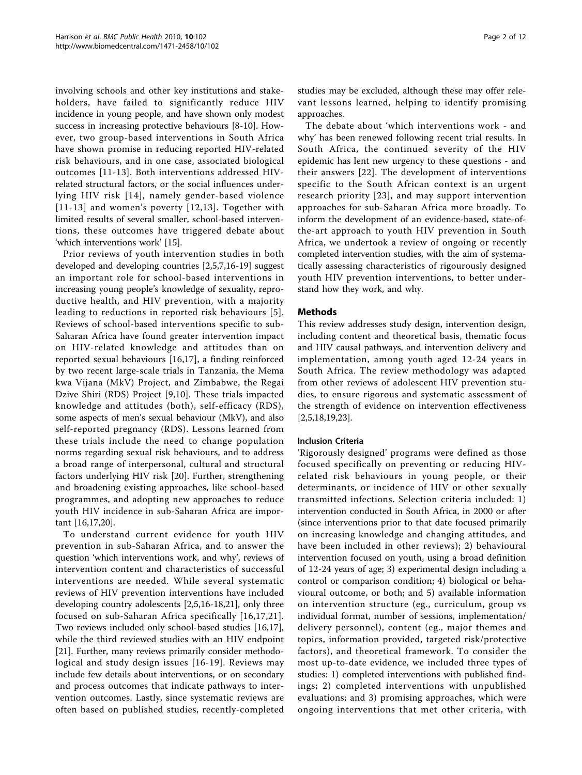involving schools and other key institutions and stakeholders, have failed to significantly reduce HIV incidence in young people, and have shown only modest success in increasing protective behaviours [\[8](#page-10-0)-[10\]](#page-10-0). However, two group-based interventions in South Africa have shown promise in reducing reported HIV-related risk behaviours, and in one case, associated biological outcomes [[11](#page-10-0)-[13](#page-10-0)]. Both interventions addressed HIVrelated structural factors, or the social influences underlying HIV risk [[14](#page-10-0)], namely gender-based violence [[11-13](#page-10-0)] and women's poverty [[12,13\]](#page-10-0). Together with limited results of several smaller, school-based interventions, these outcomes have triggered debate about 'which interventions work' [\[15](#page-10-0)].

Prior reviews of youth intervention studies in both developed and developing countries [\[2,5](#page-9-0)[,7,16](#page-10-0)-[19](#page-10-0)] suggest an important role for school-based interventions in increasing young people's knowledge of sexuality, reproductive health, and HIV prevention, with a majority leading to reductions in reported risk behaviours [[5\]](#page-9-0). Reviews of school-based interventions specific to sub-Saharan Africa have found greater intervention impact on HIV-related knowledge and attitudes than on reported sexual behaviours [\[16](#page-10-0),[17\]](#page-10-0), a finding reinforced by two recent large-scale trials in Tanzania, the Mema kwa Vijana (MkV) Project, and Zimbabwe, the Regai Dzive Shiri (RDS) Project [\[9](#page-10-0),[10\]](#page-10-0). These trials impacted knowledge and attitudes (both), self-efficacy (RDS), some aspects of men's sexual behaviour (MkV), and also self-reported pregnancy (RDS). Lessons learned from these trials include the need to change population norms regarding sexual risk behaviours, and to address a broad range of interpersonal, cultural and structural factors underlying HIV risk [\[20](#page-10-0)]. Further, strengthening and broadening existing approaches, like school-based programmes, and adopting new approaches to reduce youth HIV incidence in sub-Saharan Africa are important [\[16,17,20\]](#page-10-0).

To understand current evidence for youth HIV prevention in sub-Saharan Africa, and to answer the question 'which interventions work, and why', reviews of intervention content and characteristics of successful interventions are needed. While several systematic reviews of HIV prevention interventions have included developing country adolescents [\[2,5](#page-9-0)[,16](#page-10-0)-[18](#page-10-0),[21](#page-10-0)], only three focused on sub-Saharan Africa specifically [[16](#page-10-0),[17](#page-10-0),[21\]](#page-10-0). Two reviews included only school-based studies [\[16,17](#page-10-0)], while the third reviewed studies with an HIV endpoint [[21\]](#page-10-0). Further, many reviews primarily consider methodological and study design issues [[16-19\]](#page-10-0). Reviews may include few details about interventions, or on secondary and process outcomes that indicate pathways to intervention outcomes. Lastly, since systematic reviews are often based on published studies, recently-completed studies may be excluded, although these may offer relevant lessons learned, helping to identify promising approaches.

The debate about 'which interventions work - and why' has been renewed following recent trial results. In South Africa, the continued severity of the HIV epidemic has lent new urgency to these questions - and their answers [[22](#page-10-0)]. The development of interventions specific to the South African context is an urgent research priority [[23](#page-10-0)], and may support intervention approaches for sub-Saharan Africa more broadly. To inform the development of an evidence-based, state-ofthe-art approach to youth HIV prevention in South Africa, we undertook a review of ongoing or recently completed intervention studies, with the aim of systematically assessing characteristics of rigourously designed youth HIV prevention interventions, to better understand how they work, and why.

### Methods

This review addresses study design, intervention design, including content and theoretical basis, thematic focus and HIV causal pathways, and intervention delivery and implementation, among youth aged 12-24 years in South Africa. The review methodology was adapted from other reviews of adolescent HIV prevention studies, to ensure rigorous and systematic assessment of the strength of evidence on intervention effectiveness [[2,5,](#page-9-0)[18,19,23](#page-10-0)].

### Inclusion Criteria

'Rigorously designed' programs were defined as those focused specifically on preventing or reducing HIVrelated risk behaviours in young people, or their determinants, or incidence of HIV or other sexually transmitted infections. Selection criteria included: 1) intervention conducted in South Africa, in 2000 or after (since interventions prior to that date focused primarily on increasing knowledge and changing attitudes, and have been included in other reviews); 2) behavioural intervention focused on youth, using a broad definition of 12-24 years of age; 3) experimental design including a control or comparison condition; 4) biological or behavioural outcome, or both; and 5) available information on intervention structure (eg., curriculum, group vs individual format, number of sessions, implementation/ delivery personnel), content (eg., major themes and topics, information provided, targeted risk/protective factors), and theoretical framework. To consider the most up-to-date evidence, we included three types of studies: 1) completed interventions with published findings; 2) completed interventions with unpublished evaluations; and 3) promising approaches, which were ongoing interventions that met other criteria, with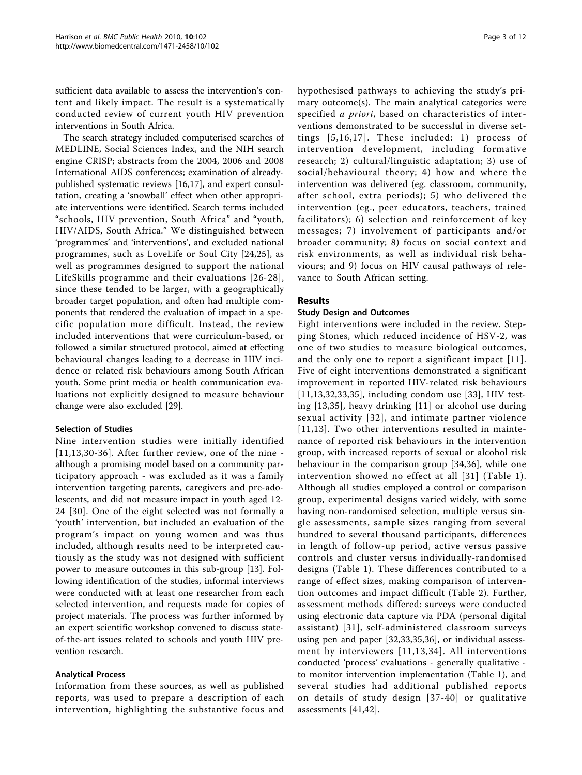sufficient data available to assess the intervention's content and likely impact. The result is a systematically conducted review of current youth HIV prevention interventions in South Africa.

The search strategy included computerised searches of MEDLINE, Social Sciences Index, and the NIH search engine CRISP; abstracts from the 2004, 2006 and 2008 International AIDS conferences; examination of alreadypublished systematic reviews [\[16,17](#page-10-0)], and expert consultation, creating a 'snowball' effect when other appropriate interventions were identified. Search terms included "schools, HIV prevention, South Africa" and "youth, HIV/AIDS, South Africa." We distinguished between 'programmes' and 'interventions', and excluded national programmes, such as LoveLife or Soul City [[24](#page-10-0),[25\]](#page-10-0), as well as programmes designed to support the national LifeSkills programme and their evaluations [[26](#page-10-0)-[28\]](#page-10-0), since these tended to be larger, with a geographically broader target population, and often had multiple components that rendered the evaluation of impact in a specific population more difficult. Instead, the review included interventions that were curriculum-based, or followed a similar structured protocol, aimed at effecting behavioural changes leading to a decrease in HIV incidence or related risk behaviours among South African youth. Some print media or health communication evaluations not explicitly designed to measure behaviour change were also excluded [\[29](#page-10-0)].

### Selection of Studies

Nine intervention studies were initially identified [[11,13,30](#page-10-0)-[36\]](#page-10-0). After further review, one of the nine although a promising model based on a community participatory approach - was excluded as it was a family intervention targeting parents, caregivers and pre-adolescents, and did not measure impact in youth aged 12- 24 [[30\]](#page-10-0). One of the eight selected was not formally a 'youth' intervention, but included an evaluation of the program's impact on young women and was thus included, although results need to be interpreted cautiously as the study was not designed with sufficient power to measure outcomes in this sub-group [[13](#page-10-0)]. Following identification of the studies, informal interviews were conducted with at least one researcher from each selected intervention, and requests made for copies of project materials. The process was further informed by an expert scientific workshop convened to discuss stateof-the-art issues related to schools and youth HIV prevention research.

#### Analytical Process

Information from these sources, as well as published reports, was used to prepare a description of each intervention, highlighting the substantive focus and hypothesised pathways to achieving the study's primary outcome(s). The main analytical categories were specified a priori, based on characteristics of interventions demonstrated to be successful in diverse settings [[5](#page-9-0),[16](#page-10-0),[17](#page-10-0)]. These included: 1) process of intervention development, including formative research; 2) cultural/linguistic adaptation; 3) use of social/behavioural theory; 4) how and where the intervention was delivered (eg. classroom, community, after school, extra periods); 5) who delivered the intervention (eg., peer educators, teachers, trained facilitators); 6) selection and reinforcement of key messages; 7) involvement of participants and/or broader community; 8) focus on social context and risk environments, as well as individual risk behaviours; and 9) focus on HIV causal pathways of relevance to South African setting.

## Results

#### Study Design and Outcomes

Eight interventions were included in the review. Stepping Stones, which reduced incidence of HSV-2, was one of two studies to measure biological outcomes, and the only one to report a significant impact [\[11\]](#page-10-0). Five of eight interventions demonstrated a significant improvement in reported HIV-related risk behaviours [[11,13,32,33,35\]](#page-10-0), including condom use [[33](#page-10-0)], HIV testing [[13](#page-10-0),[35\]](#page-10-0), heavy drinking [[11](#page-10-0)] or alcohol use during sexual activity [[32\]](#page-10-0), and intimate partner violence [[11,13\]](#page-10-0). Two other interventions resulted in maintenance of reported risk behaviours in the intervention group, with increased reports of sexual or alcohol risk behaviour in the comparison group [[34,36\]](#page-10-0), while one intervention showed no effect at all [[31](#page-10-0)] (Table [1\)](#page-3-0). Although all studies employed a control or comparison group, experimental designs varied widely, with some having non-randomised selection, multiple versus single assessments, sample sizes ranging from several hundred to several thousand participants, differences in length of follow-up period, active versus passive controls and cluster versus individually-randomised designs (Table [1](#page-3-0)). These differences contributed to a range of effect sizes, making comparison of intervention outcomes and impact difficult (Table [2](#page-4-0)). Further, assessment methods differed: surveys were conducted using electronic data capture via PDA (personal digital assistant) [[31](#page-10-0)], self-administered classroom surveys using pen and paper [[32,33,35](#page-10-0),[36\]](#page-10-0), or individual assessment by interviewers [[11](#page-10-0),[13,34\]](#page-10-0). All interventions conducted 'process' evaluations - generally qualitative to monitor intervention implementation (Table [1](#page-3-0)), and several studies had additional published reports on details of study design [[37](#page-10-0)-[40](#page-10-0)] or qualitative assessments [[41,42](#page-10-0)].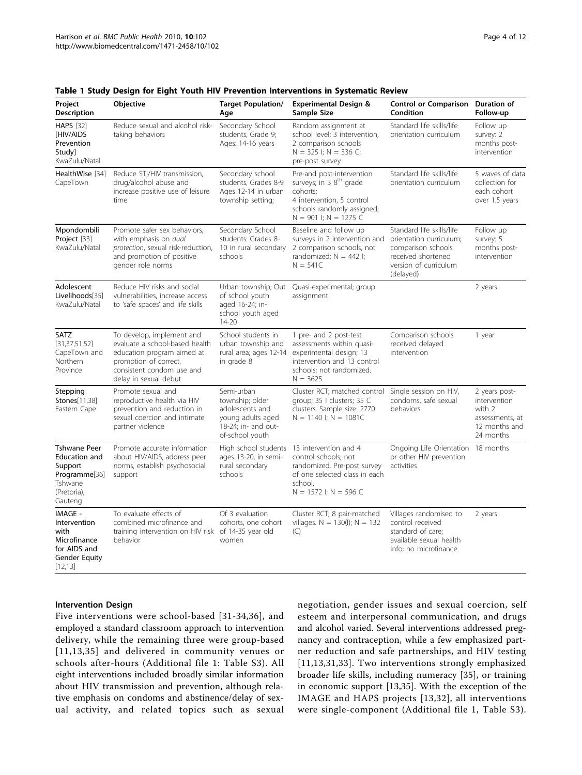| Project<br><b>Description</b>                                                                         | Objective                                                                                                                                                                | <b>Target Population/</b><br>Age                                                                                | <b>Experimental Design &amp;</b><br>Sample Size                                                                                                                      | <b>Control or Comparison</b><br>Condition                                                                                              | Duration of<br>Follow-up                                                                 |
|-------------------------------------------------------------------------------------------------------|--------------------------------------------------------------------------------------------------------------------------------------------------------------------------|-----------------------------------------------------------------------------------------------------------------|----------------------------------------------------------------------------------------------------------------------------------------------------------------------|----------------------------------------------------------------------------------------------------------------------------------------|------------------------------------------------------------------------------------------|
| <b>HAPS</b> [32]<br><b>IHIV/AIDS</b><br>Prevention<br>Study]<br>KwaZulu/Natal                         | Reduce sexual and alcohol risk-<br>taking behaviors                                                                                                                      | Secondary School<br>students, Grade 9;<br>Ages: 14-16 years                                                     | Random assignment at<br>school level; 3 intervention,<br>2 comparison schools<br>$N = 325$ I; $N = 336$ C;<br>pre-post survey                                        | Standard life skills/life<br>orientation curriculum                                                                                    | Follow up<br>survey: 2<br>months post-<br>intervention                                   |
| HealthWise [34]<br>CapeTown                                                                           | Reduce STI/HIV transmission,<br>drug/alcohol abuse and<br>increase positive use of leisure<br>time                                                                       | Secondary school<br>students, Grades 8-9<br>Ages 12-14 in urban<br>township setting;                            | Pre-and post-intervention<br>surveys; in 3 8 <sup>th</sup> grade<br>cohorts;<br>4 intervention, 5 control<br>schools randomly assigned;<br>$N = 901$ I; $N = 1275$ C | Standard life skills/life<br>orientation curriculum                                                                                    | 5 waves of data<br>collection for<br>each cohort<br>over 1.5 years                       |
| Mpondombili<br>Project [33]<br>KwaZulu/Natal                                                          | Promote safer sex behaviors,<br>with emphasis on dual<br>protection, sexual risk-reduction,<br>and promotion of positive<br>gender role norms                            | Secondary School<br>students: Grades 8-<br>10 in rural secondary<br>schools                                     | Baseline and follow up<br>surveys in 2 intervention and<br>2 comparison schools, not<br>randomized; $N = 442$ I;<br>$N = 541C$                                       | Standard life skills/life<br>orientation curriculum;<br>comparison schools<br>received shortened<br>version of curriculum<br>(delayed) | Follow up<br>survey: 5<br>months post-<br>intervention                                   |
| Adolescent<br>Livelihoods[35]<br>KwaZulu/Natal                                                        | Reduce HIV risks and social<br>vulnerabilities, increase access<br>to 'safe spaces' and life skills                                                                      | Urban township; Out<br>of school youth<br>aged 16-24; in-<br>school youth aged<br>14-20                         | Quasi-experimental; group<br>assignment                                                                                                                              |                                                                                                                                        | 2 years                                                                                  |
| SATZ<br>[31, 37, 51, 52]<br>CapeTown and<br>Northern<br>Province                                      | To develop, implement and<br>evaluate a school-based health<br>education program aimed at<br>promotion of correct,<br>consistent condom use and<br>delay in sexual debut | School students in<br>urban township and<br>rural area; ages 12-14<br>in grade 8                                | 1 pre- and 2 post-test<br>assessments within quasi-<br>experimental design; 13<br>intervention and 13 control<br>schools; not randomized.<br>$N = 3625$              | Comparison schools<br>received delayed<br>intervention                                                                                 | 1 year                                                                                   |
| Stepping<br>Stones[11,38]<br>Eastern Cape                                                             | Promote sexual and<br>reproductive health via HIV<br>prevention and reduction in<br>sexual coercion and intimate<br>partner violence                                     | Semi-urban<br>township; older<br>adolescents and<br>young adults aged<br>18-24: in- and out-<br>of-school youth | Cluster RCT; matched control<br>group; 35   clusters; 35 C<br>clusters. Sample size: 2770<br>$N = 1140$ I; $N = 1081C$                                               | Single session on HIV,<br>condoms, safe sexual<br>behaviors                                                                            | 2 years post-<br>intervention<br>with 2<br>assessments, at<br>12 months and<br>24 months |
| <b>Tshwane Peer</b><br>Education and<br>Support<br>Programme[36]<br>Tshwane<br>(Pretoria),<br>Gauteng | Promote accurate information<br>about HIV/AIDS, address peer<br>norms, establish psychosocial<br>support                                                                 | High school students<br>ages 13-20, in semi-<br>rural secondary<br>schools                                      | 13 intervention and 4<br>control schools; not<br>randomized. Pre-post survey<br>of one selected class in each<br>school.<br>$N = 1572$ I; $N = 596$ C                | Ongoing Life Orientation 18 months<br>or other HIV prevention<br>activities                                                            |                                                                                          |
| IMAGE -<br>Intervention<br>with<br>Microfinance<br>for AIDS and<br><b>Gender Equity</b><br>[12, 13]   | To evaluate effects of<br>combined microfinance and<br>training intervention on HIV risk of 14-35 year old<br>behavior                                                   | Of 3 evaluation<br>cohorts, one cohort<br>women                                                                 | Cluster RCT; 8 pair-matched<br>villages. $N = 130(l)$ ; $N = 132$<br>(C)                                                                                             | Villages randomised to<br>control received<br>standard of care;<br>available sexual health<br>info; no microfinance                    | 2 years                                                                                  |

<span id="page-3-0"></span>Table 1 Study Design for Eight Youth HIV Prevention Interventions in Systematic Review

### Intervention Design

Five interventions were school-based [[31-34](#page-10-0),[36](#page-10-0)], and employed a standard classroom approach to intervention delivery, while the remaining three were group-based [[11](#page-10-0),[13](#page-10-0),[35\]](#page-10-0) and delivered in community venues or schools after-hours (Additional file [1:](#page-9-0) Table S3). All eight interventions included broadly similar information about HIV transmission and prevention, although relative emphasis on condoms and abstinence/delay of sexual activity, and related topics such as sexual

negotiation, gender issues and sexual coercion, self esteem and interpersonal communication, and drugs and alcohol varied. Several interventions addressed pregnancy and contraception, while a few emphasized partner reduction and safe partnerships, and HIV testing [[11,13](#page-10-0),[31](#page-10-0),[33\]](#page-10-0). Two interventions strongly emphasized broader life skills, including numeracy [\[35](#page-10-0)], or training in economic support [\[13](#page-10-0),[35\]](#page-10-0). With the exception of the IMAGE and HAPS projects [[13](#page-10-0),[32](#page-10-0)], all interventions were single-component (Additional file [1,](#page-9-0) Table S3).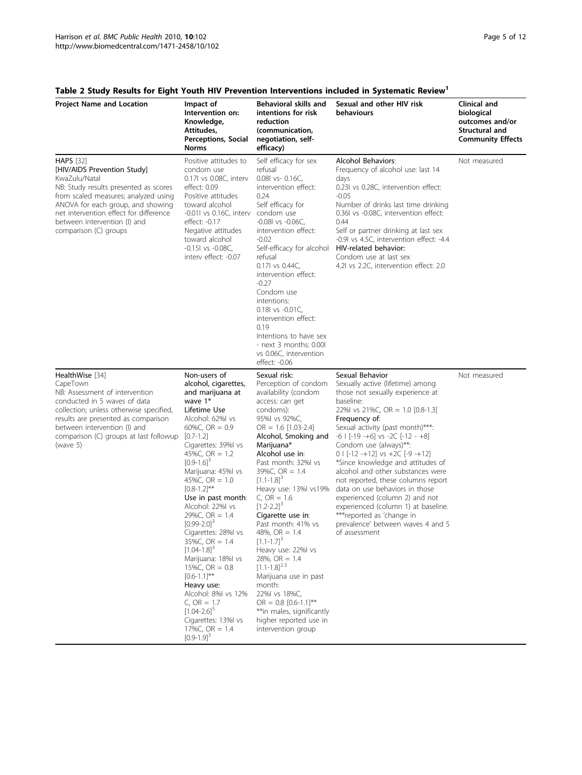| <b>Project Name and Location</b>                                                                                                                                                                                                                                                          | Impact of<br>Intervention on:<br>Knowledge,<br>Attitudes,<br>Perceptions, Social<br><b>Norms</b>                                                                                                                                                                                                                                                                                                                                                                                                                                                                                                                                                                                        | Behavioral skills and<br>intentions for risk<br>reduction<br>(communication,<br>negotiation, self-<br>efficacy)                                                                                                                                                                                                                                                                                                                                                                                                                                                                                                                                                           | Sexual and other HIV risk<br>behaviours                                                                                                                                                                                                                                                                                                                                                                                                                                                                                                                                                                                 | Clinical and<br>biological<br>outcomes and/or<br>Structural and<br><b>Community Effects</b> |
|-------------------------------------------------------------------------------------------------------------------------------------------------------------------------------------------------------------------------------------------------------------------------------------------|-----------------------------------------------------------------------------------------------------------------------------------------------------------------------------------------------------------------------------------------------------------------------------------------------------------------------------------------------------------------------------------------------------------------------------------------------------------------------------------------------------------------------------------------------------------------------------------------------------------------------------------------------------------------------------------------|---------------------------------------------------------------------------------------------------------------------------------------------------------------------------------------------------------------------------------------------------------------------------------------------------------------------------------------------------------------------------------------------------------------------------------------------------------------------------------------------------------------------------------------------------------------------------------------------------------------------------------------------------------------------------|-------------------------------------------------------------------------------------------------------------------------------------------------------------------------------------------------------------------------------------------------------------------------------------------------------------------------------------------------------------------------------------------------------------------------------------------------------------------------------------------------------------------------------------------------------------------------------------------------------------------------|---------------------------------------------------------------------------------------------|
| <b>HAPS</b> [32]<br>[HIV/AIDS Prevention Study]<br>KwaZulu/Natal<br>NB: Study results presented as scores<br>from scaled measures; analyzed using<br>ANOVA for each group, and showing<br>net intervention effect for difference<br>between intervention (I) and<br>comparison (C) groups | Positive attitudes to<br>condom use<br>0.17l vs 0.08C, interv<br>effect: 0.09<br>Positive attitudes<br>toward alcohol<br>$-0.011$ vs $0.16C$ , interv<br>effect: -0.17<br>Negative attitudes<br>toward alcohol<br>$-0.151$ vs $-0.08C$ ,<br>interv effect: -0.07                                                                                                                                                                                                                                                                                                                                                                                                                        | Self efficacy for sex<br>refusal<br>$0.081$ vs- $0.16C$ ,<br>intervention effect:<br>0.24<br>Self efficacy for<br>condom use<br>$-0.081$ vs $-0.06C$ ,<br>intervention effect:<br>$-0.02$<br>Self-efficacy for alcohol<br>refusal<br>0.17l vs 0.44C,<br>intervention effect:<br>$-0.27$<br>Condom use<br>intentions:<br>0.18l vs -0.01C,<br>intervention effect:<br>0.19<br>Intentions to have sex<br>- next 3 months: 0.00l<br>vs 0.06C, intervention<br>effect: -0.06                                                                                                                                                                                                   | Alcohol Behaviors:<br>Frequency of alcohol use: last 14<br>days<br>0.23l vs 0.28C, intervention effect:<br>$-0.05$<br>Number of drinks last time drinking<br>0.36l vs -0.08C, intervention effect:<br>0.44<br>Self or partner drinking at last sex<br>-0.9 vs 4.5C, intervention effect: -4.4<br>HIV-related behavior:<br>Condom use at last sex<br>4.2l vs 2.2C, intervention effect: 2.0                                                                                                                                                                                                                              | Not measured                                                                                |
| HealthWise [34]<br>CapeTown<br>NB: Assessment of intervention<br>conducted in 5 waves of data<br>collection; unless otherwise specified,<br>results are presented as comparison<br>between intervention (I) and<br>comparison (C) groups at last followup<br>(wave $5$ )                  | Non-users of<br>alcohol, cigarettes,<br>and marijuana at<br>wave $1*$<br>Lifetime Use<br>Alcohol: 62% vs<br>60%C, $OR = 0.9$<br>$[0.7 - 1.2]$<br>Cigarettes: 39%l vs<br>45%C, $OR = 1.2$<br>$[0.9 - 1.6]$ <sup>3</sup><br>Marijuana: 45%l vs<br>45%C, $OR = 1.0$<br>$[0.8 - 1.2]$ **<br>Use in past month:<br>Alcohol: 22%l vs<br>29%C, $OR = 1.4$<br>$[0.99 - 2.0]$ <sup>3</sup><br>Cigarettes: 28%l vs<br>35%C, $OR = 1.4$<br>$[1.04 - 1.8]$ <sup>3</sup><br>Marijuana: 18%l vs<br>15%C, $OR = 0.8$<br>$[0.6 - 1.1]$ **<br>Heavy use:<br>Alcohol: 8%I vs 12%<br>C, $OR = 1.7$<br>$[1.04 - 2.6]$ <sup>3</sup><br>Cigarettes: 13%l vs<br>17%C, $OR = 1.4$<br>$[0.9 - 1.9]$ <sup>3</sup> | Sexual risk:<br>Perception of condom<br>availability (condom<br>access: can get<br>condoms):<br>95%I vs 92%C,<br>$OR = 1.6$ [1.03-2.4]<br>Alcohol, Smoking and<br>Marijuana*<br>Alcohol use in:<br>Past month: 32%l vs<br>39%C, $OR = 1.4$<br>$[1.1 - 1.8]$ <sup>3</sup><br>Heavy use: 13%l vs19%<br>C, $OR = 1.6$<br>$[1.2 - 2.2]$ <sup>3</sup><br>Cigarette use in:<br>Past month: 41% vs<br>48%, $OR = 1.4$<br>$[1.1 - 1.7]$ <sup>3</sup><br>Heavy use: 22%l vs<br>$28\%$ , OR = 1.4<br>$[1.1 - 1.8]^{2.3}$<br>Marijuana use in past<br>month:<br>22%l vs 18%C.<br>$OR = 0.8$ [0.6-1.1]**<br>**in males, significantly<br>higher reported use in<br>intervention group | Sexual Behavior<br>Sexually active (lifetime) among<br>those not sexually experience at<br>baseline:<br>22%l vs 21%C, OR = 1.0 $[0.8-1.3]$<br>Frequency of:<br>Sexual activity (past month)***:<br>$-6$   $[-19 -+6]$ vs $-2C$ $[-12 -+8]$<br>Condom use (always)**:<br>$0$   [-12 -+12] vs +2C [-9 -+12]<br>*Since knowledge and attitudes of<br>alcohol and other substances were<br>not reported, these columns report<br>data on use behaviors in those<br>experienced (column 2) and not<br>experienced (column 1) at baseline.<br>***reported as 'change in<br>prevalence' between waves 4 and 5<br>of assessment | Not measured                                                                                |

## <span id="page-4-0"></span>Table 2 Study Results for Eight Youth HIV Prevention Interventions included in Systematic Review<sup>1</sup>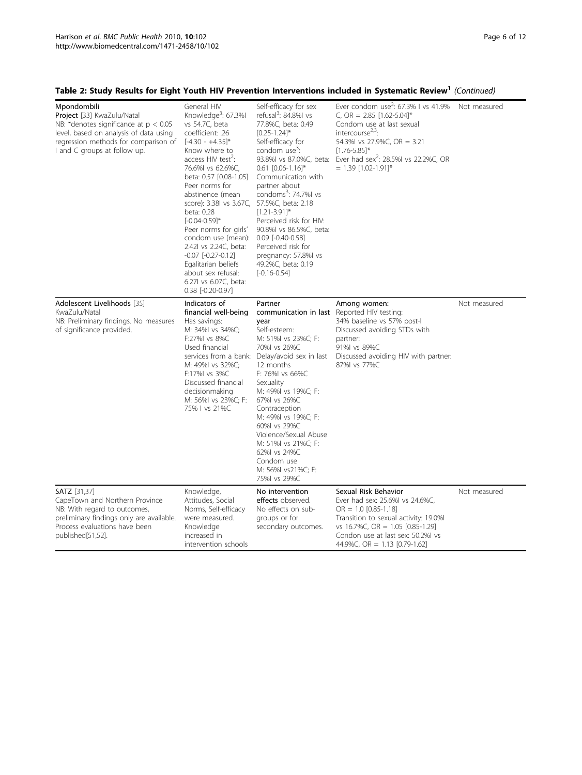## Table 2: Study Results for Eight Youth HIV Prevention Interventions included in Systematic Review<sup>1</sup> (Continued)

| Mpondombili<br>Project [33] KwaZulu/Natal<br>NB: *denotes significance at $p < 0.05$<br>level, based on analysis of data using<br>regression methods for comparison of<br>I and C groups at follow up. | General HIV<br>Knowledge <sup>3</sup> : 67.3%I<br>vs 54.7C, beta<br>coefficient: .26<br>$[-4.30 - +4.35]$ *<br>Know where to<br>access HIV test <sup>2</sup> :<br>76.6%l vs 62.6%C,<br>beta: 0.57 [0.08-1.05]<br>Peer norms for<br>abstinence (mean<br>score): 3.38l vs 3.67C,<br>beta: 0.28<br>$[-0.04 - 0.59]$ *<br>Peer norms for girls'<br>condom use (mean):<br>2.42l vs 2.24C, beta:<br>$-0.07$ $[-0.27 - 0.12]$<br>Egalitarian beliefs<br>about sex refusal:<br>6.27l vs 6.07C, beta:<br>0.38 [-0.20-0.97] | Self-efficacy for sex<br>refusal <sup>3</sup> : 84.8%l vs<br>77.8%C, beta: 0.49<br>$[0.25 - 1.24]$ *<br>Self-efficacy for<br>condom use <sup>3</sup> :<br>$0.61$ $[0.06-1.16]$ <sup>*</sup><br>Communication with<br>partner about<br>condoms <sup>3</sup> : 74.7% vs<br>57.5%C, beta: 2.18<br>$[1.21 - 3.91]$ *<br>Perceived risk for HIV:<br>90.8%l vs 86.5%C, beta:<br>$0.09$ $[-0.40 - 0.58]$<br>Perceived risk for<br>pregnancy: 57.8%l vs<br>49.2%C, beta: 0.19<br>$[-0.16 - 0.54]$ | Ever condom use <sup>3</sup> : 67.3% I vs 41.9%<br>C, OR = $2.85$ [1.62-5.04]*<br>Condom use at last sexual<br>intercourse <sup><math>2,3</math></sup> :<br>54.3%l vs 27.9%C, OR = 3.21<br>$[1.76 - 5.85]$ *<br>93.8%l vs 87.0%C, beta: Ever had sex <sup>2</sup> : 28.5%l vs 22.2%C, OR<br>$= 1.39$ [1.02-1.91]* | Not measured |
|--------------------------------------------------------------------------------------------------------------------------------------------------------------------------------------------------------|-------------------------------------------------------------------------------------------------------------------------------------------------------------------------------------------------------------------------------------------------------------------------------------------------------------------------------------------------------------------------------------------------------------------------------------------------------------------------------------------------------------------|-------------------------------------------------------------------------------------------------------------------------------------------------------------------------------------------------------------------------------------------------------------------------------------------------------------------------------------------------------------------------------------------------------------------------------------------------------------------------------------------|-------------------------------------------------------------------------------------------------------------------------------------------------------------------------------------------------------------------------------------------------------------------------------------------------------------------|--------------|
| Adolescent Livelihoods [35]<br>KwaZulu/Natal<br>NB: Preliminary findings. No measures<br>of significance provided.                                                                                     | Indicators of<br>financial well-being<br>Has savings:<br>M: 34%I vs 34%C;<br>F:27%I vs 8%C<br>Used financial<br>M: 49%I vs 32%C;<br>F:17%I vs 3%C<br>Discussed financial<br>decisionmaking<br>M: 56%I vs 23%C; F:<br>75% I vs 21%C                                                                                                                                                                                                                                                                                | Partner<br>communication in last<br>year<br>Self-esteem:<br>M: 51%I vs 23%C; F:<br>70%l vs 26%C<br>services from a bank: Delay/avoid sex in last<br>12 months<br>F: 76%I vs 66%C<br>Sexuality<br>M: 49%l vs 19%C; F:<br>67%I vs 26%C<br>Contraception<br>M: 49%I vs 19%C; F:<br>60%I vs 29%C<br>Violence/Sexual Abuse<br>M: 51%I vs 21%C; F:<br>62%l vs 24%C<br>Condom use<br>M: 56%I vs21%C; F:<br>75%I vs 29%C                                                                          | Among women:<br>Reported HIV testing:<br>34% baseline vs 57% post-l<br>Discussed avoiding STDs with<br>partner:<br>91%I vs 89%C<br>Discussed avoiding HIV with partner:<br>87%I vs 77%C                                                                                                                           | Not measured |
| <b>SATZ</b> [31,37]<br>CapeTown and Northern Province<br>NB: With regard to outcomes,<br>preliminary findings only are available.<br>Process evaluations have been<br>published[51,52].                | Knowledge,<br>Attitudes, Social<br>Norms, Self-efficacy<br>were measured.<br>Knowledge<br>increased in<br>intervention schools                                                                                                                                                                                                                                                                                                                                                                                    | No intervention<br>effects observed.<br>No effects on sub-<br>groups or for<br>secondary outcomes.                                                                                                                                                                                                                                                                                                                                                                                        | Sexual Risk Behavior<br>Ever had sex: 25.6%l vs 24.6%C,<br>$OR = 1.0$ [0.85-1.18]<br>Transition to sexual activity: 19.0%<br>vs 16.7%C, OR = 1.05 $[0.85-1.29]$<br>Condon use at last sex: 50.2% vs<br>44.9%C, OR = $1.13$ [0.79-1.62]                                                                            | Not measured |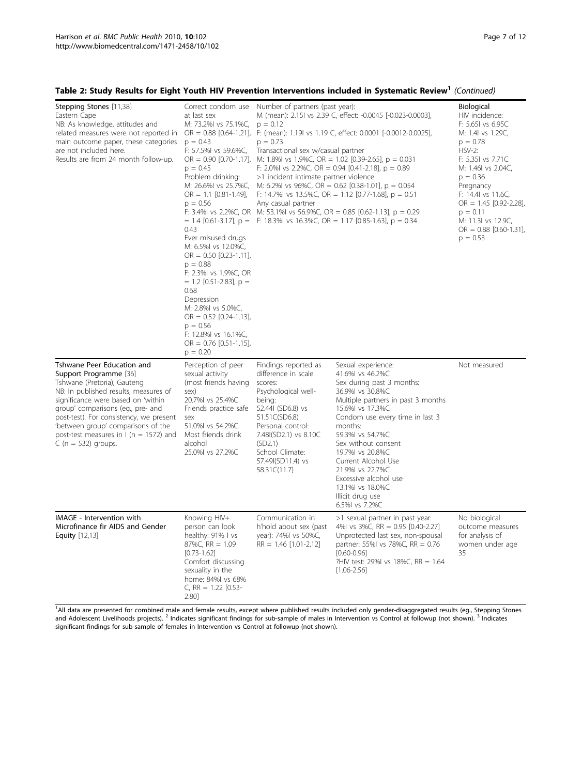## Table 2: Study Results for Eight Youth HIV Prevention Interventions included in Systematic Review<sup>1</sup> (Continued)

| Stepping Stones [11,38]<br>Eastern Cape<br>NB: As knowledge, attitudes and<br>related measures were not reported in<br>main outcome paper, these categories<br>are not included here.<br>Results are from 24 month follow-up.                                                                                                                                   | Correct condom use<br>at last sex<br>M: 73.2%l vs 75.1%C,<br>$p = 0.43$<br>F: 57.5%l vs 59.6%C,<br>$p = 0.45$<br>Problem drinking:<br>M: 26.6%l vs 25.7%C,<br>$OR = 1.1$ [0.81-1.49],<br>$p = 0.56$<br>0.43<br>Ever misused drugs<br>M: 6.5%I vs 12.0%C,<br>$OR = 0.50$ [0.23-1.11],<br>$p = 0.88$<br>F: 2.3%I vs 1.9%C, OR<br>$= 1.2$ [0.51-2.83], p =<br>0.68<br>Depression<br>M: 2.8%I vs 5.0%C,<br>$OR = 0.52$ [0.24-1.13],<br>$p = 0.56$<br>F: 12.8%l vs 16.1%C,<br>$OR = 0.76$ [0.51-1.15],<br>$p = 0.20$ | Number of partners (past year):<br>M (mean): 2.15l vs 2.39 C, effect: -0.0045 [-0.023-0.0003],<br>$p = 0.12$<br>$OR = 0.88$ [0.64-1.21], F: (mean): 1.19 vs 1.19 C, effect: 0.0001 [-0.0012-0.0025],<br>$p = 0.73$<br>Transactional sex w/casual partner<br>$OR = 0.90$ [0.70-1.17], M: 1.8%l vs 1.9%C, OR = 1.02 [0.39-2.65], p = 0.031<br>F: 2.0%l vs 2.2%C, OR = 0.94 [0.41-2.18], $p = 0.89$<br>>1 incident intimate partner violence<br>M: 6.2%I vs 96%C, OR = 0.62 [0.38-1.01], $p = 0.054$<br>F: 14.7% vs 13.5% C, OR = 1.12 [0.77-1.68], $p = 0.51$<br>Any casual partner<br>F: 3.4%I vs 2.2%C, OR M: 53.1%I vs 56.9%C, OR = 0.85 [0.62-1.13], p = 0.29<br>$= 1.4$ [0.61-3.17], p = F: 18.3% vs 16.3% C, OR = 1.17 [0.85-1.63], p = 0.34 |                                                                                                                                                                                                                                                                                                                                                                                              | Biological<br>HIV incidence:<br>F: 5.651 vs 6.95C<br>M: 1.4l vs 1.29C,<br>$p = 0.78$<br>$HSV-2$ :<br>F: 5.35I vs 7.71C<br>M: 1.46l vs 2.04C,<br>$p = 0.36$<br>Pregnancy<br>F: 14.4 vs 11.6C,<br>$OR = 1.45$ [0.92-2.28],<br>$p = 0.11$<br>M: 11.3I vs 12.9C,<br>$OR = 0.88$ [0.60-1.31],<br>$p = 0.53$ |
|-----------------------------------------------------------------------------------------------------------------------------------------------------------------------------------------------------------------------------------------------------------------------------------------------------------------------------------------------------------------|-----------------------------------------------------------------------------------------------------------------------------------------------------------------------------------------------------------------------------------------------------------------------------------------------------------------------------------------------------------------------------------------------------------------------------------------------------------------------------------------------------------------|--------------------------------------------------------------------------------------------------------------------------------------------------------------------------------------------------------------------------------------------------------------------------------------------------------------------------------------------------------------------------------------------------------------------------------------------------------------------------------------------------------------------------------------------------------------------------------------------------------------------------------------------------------------------------------------------------------------------------------------------------|----------------------------------------------------------------------------------------------------------------------------------------------------------------------------------------------------------------------------------------------------------------------------------------------------------------------------------------------------------------------------------------------|--------------------------------------------------------------------------------------------------------------------------------------------------------------------------------------------------------------------------------------------------------------------------------------------------------|
| Tshwane Peer Education and<br>Support Programme [36]<br>Tshwane (Pretoria), Gauteng<br>NB: In published results, measures of<br>significance were based on 'within<br>group' comparisons (eg., pre- and<br>post-test). For consistency, we present<br>'between group' comparisons of the<br>post-test measures in $\ell$ (n = 1572) and<br>$C(n = 532)$ groups. | Perception of peer<br>sexual activity<br>(most friends having<br>sex)<br>20.7%l vs 25.4%C<br>Friends practice safe<br>sex<br>51.0%l vs 54.2%C<br>Most friends drink<br>alcohol<br>25.0%I vs 27.2%C                                                                                                                                                                                                                                                                                                              | Findings reported as<br>difference in scale<br>scores:<br>Psychological well-<br>being:<br>52.441 (SD6.8) vs<br>51.51C(SD6.8)<br>Personal control:<br>7.48(SD2.1) vs 8.10C<br>(SD2.1)<br>School Climate:<br>57.49(SD11.4) vs<br>58.31C(11.7)                                                                                                                                                                                                                                                                                                                                                                                                                                                                                                     | Sexual experience:<br>41.6%l vs 46.2%C<br>Sex during past 3 months:<br>36.9%I vs 30.8%C<br>Multiple partners in past 3 months<br>15.6%l vs 17.3%C<br>Condom use every time in last 3<br>months:<br>59.3%l vs 54.7%C<br>Sex without consent<br>19.7% vs 20.8% C<br>Current Alcohol Use<br>21.9%l vs 22.7%C<br>Excessive alcohol use<br>13.1%l vs 18.0%C<br>Illicit drug use<br>6.5%l vs 7.2%C | Not measured                                                                                                                                                                                                                                                                                           |
| IMAGE - Intervention with<br>Microfinance fir AIDS and Gender<br><b>Equity</b> [12,13]                                                                                                                                                                                                                                                                          | Knowing HIV+<br>person can look<br>healthy: 91% I vs<br>$87\%C$ , RR = 1.09<br>$[0.73 - 1.62]$<br>Comfort discussing<br>sexuality in the<br>home: 84%I vs 68%<br>C, RR = $1.22$ [0.53-<br>2.80]                                                                                                                                                                                                                                                                                                                 | Communication in<br>h'hold about sex (past<br>year): 74%l vs 50%C,<br>$RR = 1.46$ [1.01-2.12]                                                                                                                                                                                                                                                                                                                                                                                                                                                                                                                                                                                                                                                    | >1 sexual partner in past year:<br>4%l vs 3%C, RR = 0.95 [0.40-2.27]<br>Unprotected last sex, non-spousal<br>partner: 55%l vs 78%C, RR = 0.76<br>$[0.60 - 0.96]$<br>?HIV test: 29%I vs 18%C, RR = 1.64<br>$[1.06 - 2.56]$                                                                                                                                                                    | No biological<br>outcome measures<br>for analysis of<br>women under age<br>35                                                                                                                                                                                                                          |

<sup>1</sup>All data are presented for combined male and female results, except where published results included only gender-disaggregated results (eg., Stepping Stones<br>and Adolescent Livelihoods projects). <sup>2</sup> Indicates significan significant findings for sub-sample of females in Intervention vs Control at followup (not shown).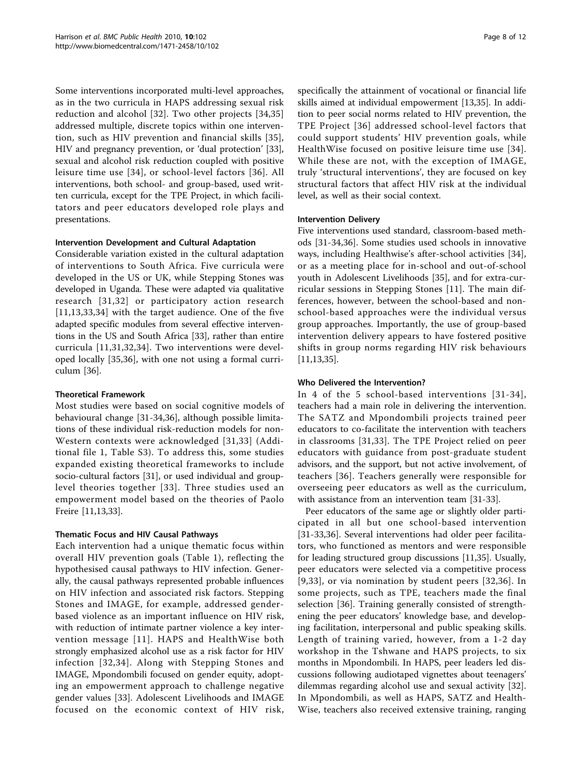Some interventions incorporated multi-level approaches, as in the two curricula in HAPS addressing sexual risk reduction and alcohol [[32](#page-10-0)]. Two other projects [[34,35](#page-10-0)] addressed multiple, discrete topics within one intervention, such as HIV prevention and financial skills [[35\]](#page-10-0), HIV and pregnancy prevention, or 'dual protection' [\[33](#page-10-0)], sexual and alcohol risk reduction coupled with positive leisure time use [\[34\]](#page-10-0), or school-level factors [[36](#page-10-0)]. All interventions, both school- and group-based, used written curricula, except for the TPE Project, in which facilitators and peer educators developed role plays and presentations.

### Intervention Development and Cultural Adaptation

Considerable variation existed in the cultural adaptation of interventions to South Africa. Five curricula were developed in the US or UK, while Stepping Stones was developed in Uganda. These were adapted via qualitative research [\[31](#page-10-0),[32\]](#page-10-0) or participatory action research [[11](#page-10-0),[13,33](#page-10-0),[34\]](#page-10-0) with the target audience. One of the five adapted specific modules from several effective interventions in the US and South Africa [\[33](#page-10-0)], rather than entire curricula [[11,31](#page-10-0),[32,34\]](#page-10-0). Two interventions were developed locally [[35,36](#page-10-0)], with one not using a formal curriculum [[36](#page-10-0)].

### Theoretical Framework

Most studies were based on social cognitive models of behavioural change [\[31](#page-10-0)-[34,36\]](#page-10-0), although possible limitations of these individual risk-reduction models for non-Western contexts were acknowledged [\[31,33\]](#page-10-0) (Additional file [1](#page-9-0), Table S3). To address this, some studies expanded existing theoretical frameworks to include socio-cultural factors [\[31](#page-10-0)], or used individual and grouplevel theories together [[33](#page-10-0)]. Three studies used an empowerment model based on the theories of Paolo Freire [[11,13](#page-10-0),[33](#page-10-0)].

### Thematic Focus and HIV Causal Pathways

Each intervention had a unique thematic focus within overall HIV prevention goals (Table [1](#page-3-0)), reflecting the hypothesised causal pathways to HIV infection. Generally, the causal pathways represented probable influences on HIV infection and associated risk factors. Stepping Stones and IMAGE, for example, addressed genderbased violence as an important influence on HIV risk, with reduction of intimate partner violence a key intervention message [[11\]](#page-10-0). HAPS and HealthWise both strongly emphasized alcohol use as a risk factor for HIV infection [[32,34](#page-10-0)]. Along with Stepping Stones and IMAGE, Mpondombili focused on gender equity, adopting an empowerment approach to challenge negative gender values [\[33](#page-10-0)]. Adolescent Livelihoods and IMAGE focused on the economic context of HIV risk, specifically the attainment of vocational or financial life skills aimed at individual empowerment [\[13,35](#page-10-0)]. In addition to peer social norms related to HIV prevention, the TPE Project [[36](#page-10-0)] addressed school-level factors that could support students' HIV prevention goals, while HealthWise focused on positive leisure time use [[34](#page-10-0)]. While these are not, with the exception of IMAGE, truly 'structural interventions', they are focused on key structural factors that affect HIV risk at the individual level, as well as their social context.

### Intervention Delivery

Five interventions used standard, classroom-based methods [[31-34,36](#page-10-0)]. Some studies used schools in innovative ways, including Healthwise's after-school activities [\[34](#page-10-0)], or as a meeting place for in-school and out-of-school youth in Adolescent Livelihoods [\[35](#page-10-0)], and for extra-curricular sessions in Stepping Stones [[11](#page-10-0)]. The main differences, however, between the school-based and nonschool-based approaches were the individual versus group approaches. Importantly, the use of group-based intervention delivery appears to have fostered positive shifts in group norms regarding HIV risk behaviours [[11,13,35](#page-10-0)].

### Who Delivered the Intervention?

In 4 of the 5 school-based interventions [[31](#page-10-0)-[34\]](#page-10-0), teachers had a main role in delivering the intervention. The SATZ and Mpondombili projects trained peer educators to co-facilitate the intervention with teachers in classrooms [\[31,33](#page-10-0)]. The TPE Project relied on peer educators with guidance from post-graduate student advisors, and the support, but not active involvement, of teachers [[36](#page-10-0)]. Teachers generally were responsible for overseeing peer educators as well as the curriculum, with assistance from an intervention team [\[31-33](#page-10-0)].

Peer educators of the same age or slightly older participated in all but one school-based intervention [[31-33](#page-10-0),[36\]](#page-10-0). Several interventions had older peer facilitators, who functioned as mentors and were responsible for leading structured group discussions [\[11,35\]](#page-10-0). Usually, peer educators were selected via a competitive process [[9](#page-10-0),[33](#page-10-0)], or via nomination by student peers [[32](#page-10-0),[36](#page-10-0)]. In some projects, such as TPE, teachers made the final selection [[36\]](#page-10-0). Training generally consisted of strengthening the peer educators' knowledge base, and developing facilitation, interpersonal and public speaking skills. Length of training varied, however, from a 1-2 day workshop in the Tshwane and HAPS projects, to six months in Mpondombili. In HAPS, peer leaders led discussions following audiotaped vignettes about teenagers' dilemmas regarding alcohol use and sexual activity [\[32](#page-10-0)]. In Mpondombili, as well as HAPS, SATZ and Health-Wise, teachers also received extensive training, ranging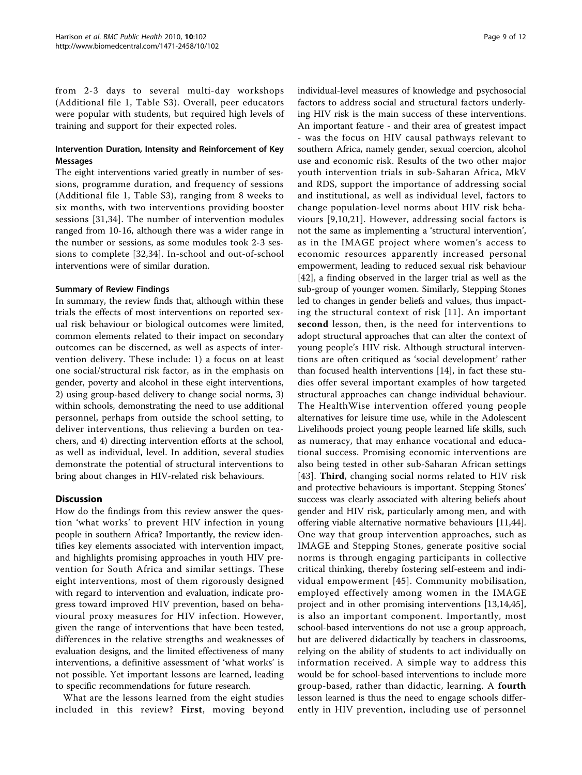from 2-3 days to several multi-day workshops (Additional file [1,](#page-9-0) Table S3). Overall, peer educators were popular with students, but required high levels of training and support for their expected roles.

### Intervention Duration, Intensity and Reinforcement of Key Messages

The eight interventions varied greatly in number of sessions, programme duration, and frequency of sessions (Additional file [1,](#page-9-0) Table S3), ranging from 8 weeks to six months, with two interventions providing booster sessions [[31,34\]](#page-10-0). The number of intervention modules ranged from 10-16, although there was a wider range in the number or sessions, as some modules took 2-3 sessions to complete [\[32](#page-10-0),[34\]](#page-10-0). In-school and out-of-school interventions were of similar duration.

#### Summary of Review Findings

In summary, the review finds that, although within these trials the effects of most interventions on reported sexual risk behaviour or biological outcomes were limited, common elements related to their impact on secondary outcomes can be discerned, as well as aspects of intervention delivery. These include: 1) a focus on at least one social/structural risk factor, as in the emphasis on gender, poverty and alcohol in these eight interventions, 2) using group-based delivery to change social norms, 3) within schools, demonstrating the need to use additional personnel, perhaps from outside the school setting, to deliver interventions, thus relieving a burden on teachers, and 4) directing intervention efforts at the school, as well as individual, level. In addition, several studies demonstrate the potential of structural interventions to bring about changes in HIV-related risk behaviours.

## **Discussion**

How do the findings from this review answer the question 'what works' to prevent HIV infection in young people in southern Africa? Importantly, the review identifies key elements associated with intervention impact, and highlights promising approaches in youth HIV prevention for South Africa and similar settings. These eight interventions, most of them rigorously designed with regard to intervention and evaluation, indicate progress toward improved HIV prevention, based on behavioural proxy measures for HIV infection. However, given the range of interventions that have been tested, differences in the relative strengths and weaknesses of evaluation designs, and the limited effectiveness of many interventions, a definitive assessment of 'what works' is not possible. Yet important lessons are learned, leading to specific recommendations for future research.

What are the lessons learned from the eight studies included in this review? First, moving beyond individual-level measures of knowledge and psychosocial factors to address social and structural factors underlying HIV risk is the main success of these interventions. An important feature - and their area of greatest impact - was the focus on HIV causal pathways relevant to southern Africa, namely gender, sexual coercion, alcohol use and economic risk. Results of the two other major youth intervention trials in sub-Saharan Africa, MkV and RDS, support the importance of addressing social and institutional, as well as individual level, factors to change population-level norms about HIV risk behaviours [[9](#page-10-0),[10,21\]](#page-10-0). However, addressing social factors is not the same as implementing a 'structural intervention', as in the IMAGE project where women's access to economic resources apparently increased personal empowerment, leading to reduced sexual risk behaviour [[42\]](#page-10-0), a finding observed in the larger trial as well as the sub-group of younger women. Similarly, Stepping Stones led to changes in gender beliefs and values, thus impacting the structural context of risk [[11\]](#page-10-0). An important second lesson, then, is the need for interventions to adopt structural approaches that can alter the context of young people's HIV risk. Although structural interventions are often critiqued as 'social development' rather than focused health interventions [[14\]](#page-10-0), in fact these studies offer several important examples of how targeted structural approaches can change individual behaviour. The HealthWise intervention offered young people alternatives for leisure time use, while in the Adolescent Livelihoods project young people learned life skills, such as numeracy, that may enhance vocational and educational success. Promising economic interventions are also being tested in other sub-Saharan African settings [[43](#page-10-0)]. Third, changing social norms related to HIV risk and protective behaviours is important. Stepping Stones' success was clearly associated with altering beliefs about gender and HIV risk, particularly among men, and with offering viable alternative normative behaviours [\[11,44](#page-10-0)]. One way that group intervention approaches, such as IMAGE and Stepping Stones, generate positive social norms is through engaging participants in collective critical thinking, thereby fostering self-esteem and individual empowerment [[45\]](#page-10-0). Community mobilisation, employed effectively among women in the IMAGE project and in other promising interventions [[13,14,45](#page-10-0)], is also an important component. Importantly, most school-based interventions do not use a group approach, but are delivered didactically by teachers in classrooms, relying on the ability of students to act individually on information received. A simple way to address this would be for school-based interventions to include more group-based, rather than didactic, learning. A fourth lesson learned is thus the need to engage schools differently in HIV prevention, including use of personnel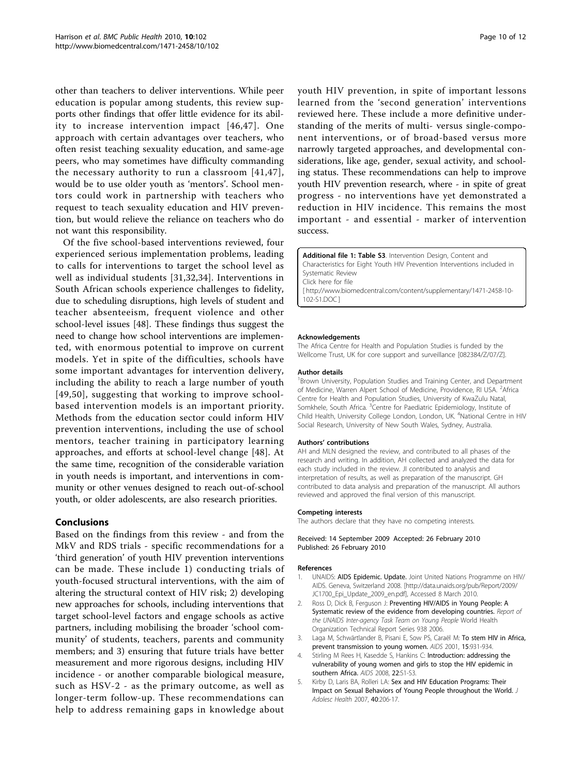<span id="page-9-0"></span>other than teachers to deliver interventions. While peer education is popular among students, this review supports other findings that offer little evidence for its ability to increase intervention impact [[46](#page-11-0),[47\]](#page-11-0). One approach with certain advantages over teachers, who often resist teaching sexuality education, and same-age peers, who may sometimes have difficulty commanding the necessary authority to run a classroom [[41](#page-10-0),[47\]](#page-11-0), would be to use older youth as 'mentors'. School mentors could work in partnership with teachers who request to teach sexuality education and HIV prevention, but would relieve the reliance on teachers who do not want this responsibility.

Of the five school-based interventions reviewed, four experienced serious implementation problems, leading to calls for interventions to target the school level as well as individual students [[31,32](#page-10-0),[34\]](#page-10-0). Interventions in South African schools experience challenges to fidelity, due to scheduling disruptions, high levels of student and teacher absenteeism, frequent violence and other school-level issues [[48](#page-11-0)]. These findings thus suggest the need to change how school interventions are implemented, with enormous potential to improve on current models. Yet in spite of the difficulties, schools have some important advantages for intervention delivery, including the ability to reach a large number of youth [[49,50](#page-11-0)], suggesting that working to improve schoolbased intervention models is an important priority. Methods from the education sector could inform HIV prevention interventions, including the use of school mentors, teacher training in participatory learning approaches, and efforts at school-level change [[48](#page-11-0)]. At the same time, recognition of the considerable variation in youth needs is important, and interventions in community or other venues designed to reach out-of-school youth, or older adolescents, are also research priorities.

### Conclusions

Based on the findings from this review - and from the MkV and RDS trials - specific recommendations for a 'third generation' of youth HIV prevention interventions can be made. These include 1) conducting trials of youth-focused structural interventions, with the aim of altering the structural context of HIV risk; 2) developing new approaches for schools, including interventions that target school-level factors and engage schools as active partners, including mobilising the broader 'school community' of students, teachers, parents and community members; and 3) ensuring that future trials have better measurement and more rigorous designs, including HIV incidence - or another comparable biological measure, such as HSV-2 - as the primary outcome, as well as longer-term follow-up. These recommendations can help to address remaining gaps in knowledge about

youth HIV prevention, in spite of important lessons learned from the 'second generation' interventions reviewed here. These include a more definitive understanding of the merits of multi- versus single-component interventions, or of broad-based versus more narrowly targeted approaches, and developmental considerations, like age, gender, sexual activity, and schooling status. These recommendations can help to improve youth HIV prevention research, where - in spite of great progress - no interventions have yet demonstrated a reduction in HIV incidence. This remains the most important - and essential - marker of intervention success.

Additional file 1: Table S3. Intervention Design, Content and Characteristics for Eight Youth HIV Prevention Interventions included in Systematic Review Click here for file [ http://www.biomedcentral.com/content/supplementary/1471-2458-10- 102-S1.DOC ]

#### Acknowledgements

The Africa Centre for Health and Population Studies is funded by the Wellcome Trust, UK for core support and surveillance [082384/Z/07/Z].

#### Author details

<sup>1</sup> Brown University, Population Studies and Training Center, and Department of Medicine, Warren Alpert School of Medicine, Providence, RI USA. <sup>2</sup> Africa Centre for Health and Population Studies, University of KwaZulu Natal, Somkhele, South Africa. <sup>3</sup> Centre for Paediatric Epidemiology, Institute of Child Health, University College London, London, UK. <sup>4</sup>National Centre in HIV Social Research, University of New South Wales, Sydney, Australia.

#### Authors' contributions

AH and MLN designed the review, and contributed to all phases of the research and writing. In addition, AH collected and analyzed the data for each study included in the review. JI contributed to analysis and interpretation of results, as well as preparation of the manuscript. GH contributed to data analysis and preparation of the manuscript. All authors reviewed and approved the final version of this manuscript.

#### Competing interests

The authors declare that they have no competing interests.

#### Received: 14 September 2009 Accepted: 26 February 2010 Published: 26 February 2010

#### References

- UNAIDS: AIDS Epidemic. Update. Joint United Nations Programme on HIV/ AIDS. Geneva, Switzerland 2008. [\[http://data.unaids.org/pub/Report/2009/](http://data.unaids.org/pub/Report/2009/JC1700_Epi_Update_2009_en.pdf) [JC1700\\_Epi\\_Update\\_2009\\_en.pdf\]](http://data.unaids.org/pub/Report/2009/JC1700_Epi_Update_2009_en.pdf), Accessed 8 March 2010.
- 2. Ross D, Dick B, Ferguson J: Preventing HIV/AIDS in Young People: A Systematic review of the evidence from developing countries. Report of the UNAIDS Inter-agency Task Team on Young People World Health Organization Technical Report Series 938 2006.
- 3. Laga M, Schwärtlander B, Pisani E, Sow PS, Caraël M: [To stem HIV in Africa,](http://www.ncbi.nlm.nih.gov/pubmed/11399966?dopt=Abstract) [prevent transmission to young women.](http://www.ncbi.nlm.nih.gov/pubmed/11399966?dopt=Abstract) AIDS 2001, 15:931-934.
- Stirling M Rees H, Kasedde S, Hankins C: Introduction: addressing the vulnerability of young women and girls to stop the HIV epidemic in southern Africa. AIDS 2008, 22:S1-S3.
- 5. Kirby D, Laris BA, Rolleri LA: [Sex and HIV Education Programs: Their](http://www.ncbi.nlm.nih.gov/pubmed/17321420?dopt=Abstract) [Impact on Sexual Behaviors of Young People throughout the World.](http://www.ncbi.nlm.nih.gov/pubmed/17321420?dopt=Abstract) J Adolesc Health 2007, 40:206-17.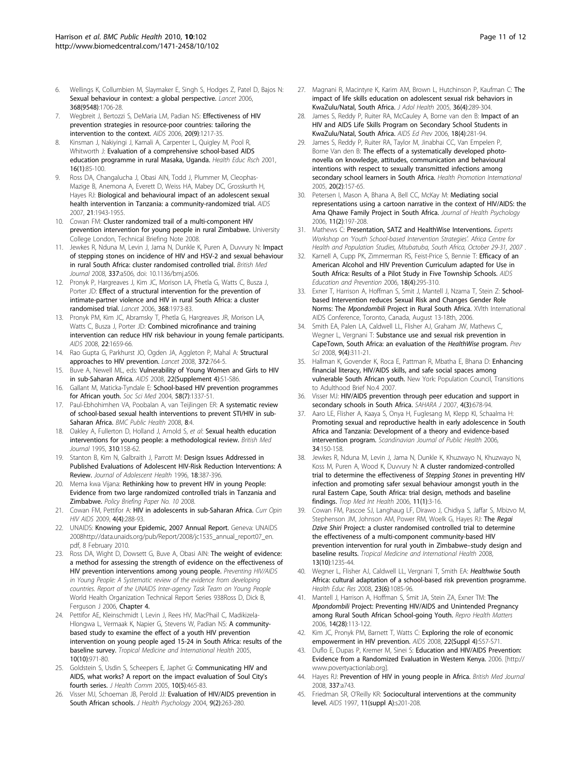- <span id="page-10-0"></span>6. Wellings K, Collumbien M, Slaymaker E, Singh S, Hodges Z, Patel D, Bajos N: [Sexual behaviour in context: a global perspective.](http://www.ncbi.nlm.nih.gov/pubmed/17098090?dopt=Abstract) Lancet 2006, 368(9548):1706-28.
- 7. Wegbreit J, Bertozzi S, DeMaria LM, Padian NS: [Effectiveness of HIV](http://www.ncbi.nlm.nih.gov/pubmed/16816550?dopt=Abstract) [prevention strategies in resource-poor countries: tailoring the](http://www.ncbi.nlm.nih.gov/pubmed/16816550?dopt=Abstract) [intervention to the context.](http://www.ncbi.nlm.nih.gov/pubmed/16816550?dopt=Abstract) AIDS 2006, 20(9):1217-35.
- Kinsman J, Nakiyingi J, Kamali A, Carpenter L, Quigley M, Pool R, Whitworth J: Evaluation of a comprehensive school-based AIDS education programme in rural Masaka, Uganda. Health Educ Rsch 2001, 16(1):85-100.
- 9. Ross DA, Changalucha J, Obasi AIN, Todd J, Plummer M, Cleophas-Mazige B, Anemona A, Everett D, Weiss HA, Mabey DC, Grosskurth H, Hayes RJ: [Biological and behavioural impact of an adolescent sexual](http://www.ncbi.nlm.nih.gov/pubmed/17721102?dopt=Abstract) [health intervention in Tanzania: a community-randomized trial.](http://www.ncbi.nlm.nih.gov/pubmed/17721102?dopt=Abstract) AIDS 2007, 21:1943-1955.
- 10. Cowan FM: Cluster randomized trail of a multi-component HIV prevention intervention for young people in rural Zimbabwe. University College London, Technical Briefing Note 2008.
- 11. Jewkes R, Nduna M, Levin J, Jama N, Dunkle K, Puren A, Duvvury N: Impact of stepping stones on incidence of HIV and HSV-2 and sexual behaviour in rural South Africa: cluster randomised controlled trial. British Med Journal 2008, 337:a506, doi: 10.1136/bmj.a506.
- 12. Pronyk P, Hargreaves J, Kim JC, Morison LA, Phetla G, Watts C, Busza J, Porter JD: [Effect of a structural intervention for the prevention of](http://www.ncbi.nlm.nih.gov/pubmed/17141704?dopt=Abstract) [intimate-partner violence and HIV in rural South Africa: a cluster](http://www.ncbi.nlm.nih.gov/pubmed/17141704?dopt=Abstract) [randomised trial.](http://www.ncbi.nlm.nih.gov/pubmed/17141704?dopt=Abstract) Lancet 2006, 368:1973-83.
- 13. Pronyk PM, Kim JC, Abramsky T, Phetla G, Hargreaves JR, Morison LA, Watts C, Busza J, Porter JD: **[Combined microfinance and training](http://www.ncbi.nlm.nih.gov/pubmed/18670227?dopt=Abstract)** [intervention can reduce HIV risk behaviour in young female participants.](http://www.ncbi.nlm.nih.gov/pubmed/18670227?dopt=Abstract) AIDS 2008, 22:1659-66.
- 14. Rao Gupta G, Parkhurst JO, Ogden JA, Aggleton P, Mahal A: [Structural](http://www.ncbi.nlm.nih.gov/pubmed/18687460?dopt=Abstract) [approaches to HIV prevention.](http://www.ncbi.nlm.nih.gov/pubmed/18687460?dopt=Abstract) Lancet 2008, 372:764-5.
- 15. Buve A, Newell ML, eds: Vulnerability of Young Women and Girls to HIV in sub-Saharan Africa. AIDS 2008, 22(Supplement 4):S1-S86.
- 16. Gallant M, Maticka-Tyndale E: [School-based HIV prevention programmes](http://www.ncbi.nlm.nih.gov/pubmed/14759680?dopt=Abstract) [for African youth.](http://www.ncbi.nlm.nih.gov/pubmed/14759680?dopt=Abstract) Soc Sci Med 2004, 58(7):1337-51.
- 17. Paul-Ebhohimhen VA, Poobalan A, van Teijlingen ER: [A systematic review](http://www.ncbi.nlm.nih.gov/pubmed/18179703?dopt=Abstract) [of school-based sexual health interventions to prevent STI/HIV in sub-](http://www.ncbi.nlm.nih.gov/pubmed/18179703?dopt=Abstract)[Saharan Africa.](http://www.ncbi.nlm.nih.gov/pubmed/18179703?dopt=Abstract) BMC Public Health 2008, 8:4.
- 18. Oakley A, Fullerton D, Holland J, Arnold S, et al: Sexual health education interventions for young people: a methodological review. British Med Journal 1995, 310:158-62.
- 19. Stanton B, Kim N, Galbraith J, Parrott M: [Design Issues Addressed in](http://www.ncbi.nlm.nih.gov/pubmed/8803730?dopt=Abstract) [Published Evaluations of Adolescent HIV-Risk Reduction Interventions: A](http://www.ncbi.nlm.nih.gov/pubmed/8803730?dopt=Abstract) [Review.](http://www.ncbi.nlm.nih.gov/pubmed/8803730?dopt=Abstract) Journal of Adolescent Health 1996, 18:387-396.
- 20. Mema kwa Vijana: Rethinking how to prevent HIV in young People: Evidence from two large randomized controlled trials in Tanzania and Zimbabwe. Policy Briefing Paper No. 10 2008.
- 21. Cowan FM, Pettifor A: [HIV in adolescents in sub-Saharan Africa.](http://www.ncbi.nlm.nih.gov/pubmed/19532066?dopt=Abstract) Curr Opin HIV AIDS 2009, 4(4):288-93.
- 22. UNAIDS: Knowing your Epidemic, 2007 Annual Report. Geneva: UNAIDS 200[8http://data.unaids.org/pub/Report/2008/jc1535\\_annual\\_report07\\_en.](http://data.unaids.org/pub/Report/2008/jc1535_annual_report07_en.pdf) [pdf](http://data.unaids.org/pub/Report/2008/jc1535_annual_report07_en.pdf), 8 February 2010.
- 23. Ross DA, Wight D, Dowsett G, Buve A, Obasi AIN: The weight of evidence: a method for assessing the strength of evidence on the effectiveness of HIV prevention interventions among young people. Preventing HIV/AIDS in Young People: A Systematic review of the evidence from developing countries. Report of the UNAIDS Inter-agency Task Team on Young People World Health Organization Technical Report Series 938Ross D, Dick B, Ferguson J 2006, Chapter 4.
- 24. Pettifor AE, Kleinschmidt I, Levin J, Rees HV, MacPhail C, Madikizela-Hlongwa L, Vermaak K, Napier G, Stevens W, Padian NS: [A community](http://www.ncbi.nlm.nih.gov/pubmed/16185231?dopt=Abstract)[based study to examine the effect of a youth HIV prevention](http://www.ncbi.nlm.nih.gov/pubmed/16185231?dopt=Abstract) [intervention on young people aged 15-24 in South Africa: results of the](http://www.ncbi.nlm.nih.gov/pubmed/16185231?dopt=Abstract) [baseline survey.](http://www.ncbi.nlm.nih.gov/pubmed/16185231?dopt=Abstract) Tropical Medicine and International Health 2005, 10(10):971-80.
- 25. Goldstein S, Usdin S, Scheepers E, Japhet G: Communicating HIV and AIDS, what works? A report on the impact evaluation of Soul City's fourth series. J Health Comm 2005, 10(5):465-83.
- 26. Visser MJ, Schoeman JB, Perold JJ: Evaluation of HIV/AIDS prevention in South African schools. J Health Psychology 2004, 9(2):263-280.
- 27. Magnani R, Macintyre K, Karim AM, Brown L, Hutchinson P, Kaufman C; The impact of life skills education on adolescent sexual risk behaviors in KwaZulu/Natal, South Africa. J Adol Health 2005, 36(4):289-304.
- 28. James S, Reddy P, Ruiter RA, McCauley A, Borne van den B: Impact of an HIV and AIDS Life Skills Program on Secondary School Students in KwaZulu/Natal, South Africa. AIDS Ed Prev 2006, 18(4):281-94.
- 29. James S, Reddy P, Ruiter RA, Taylor M, Jinabhai CC, Van Empelen P, Borne Van den B: [The effects of a systematically developed photo](http://www.ncbi.nlm.nih.gov/pubmed/15764686?dopt=Abstract)[novella on knowledge, attitudes, communication and behavioural](http://www.ncbi.nlm.nih.gov/pubmed/15764686?dopt=Abstract) [intentions with respect to sexually transmitted infections among](http://www.ncbi.nlm.nih.gov/pubmed/15764686?dopt=Abstract) [secondary school learners in South Africa.](http://www.ncbi.nlm.nih.gov/pubmed/15764686?dopt=Abstract) Health Promotion International 2005, 20(2):157-65.
- 30. Petersen I, Mason A, Bhana A, Bell CC, McKay M: [Mediating social](http://www.ncbi.nlm.nih.gov/pubmed/16464919?dopt=Abstract) [representations using a cartoon narrative in the context of HIV/AIDS: the](http://www.ncbi.nlm.nih.gov/pubmed/16464919?dopt=Abstract) [Ama Qhawe Family Project in South Africa.](http://www.ncbi.nlm.nih.gov/pubmed/16464919?dopt=Abstract) Journal of Health Psychology 2006, 11(2):197-208.
- 31. Mathews C: Presentation, SATZ and HealthWise Interventions. Experts Workshop on 'Youth School-based Intervention Strategies'. Africa Centre for Health and Population Studies, Mtubatuba, South Africa, October 29-31, 2007 .
- 32. Karnell A, Cupp PK, Zimmerman RS, Feist-Price S, Bennie T: **[Efficacy of an](http://www.ncbi.nlm.nih.gov/pubmed/16961447?dopt=Abstract)** [American Alcohol and HIV Prevention Curriculum adapted for Use in](http://www.ncbi.nlm.nih.gov/pubmed/16961447?dopt=Abstract) [South Africa: Results of a Pilot Study in Five Township Schools.](http://www.ncbi.nlm.nih.gov/pubmed/16961447?dopt=Abstract) AIDS Education and Prevention 2006, 18(4):295-310.
- 33. Exner T, Harrison A, Hoffman S, Smit J, Mantell J, Nzama T, Stein Z: Schoolbased Intervention reduces Sexual Risk and Changes Gender Role Norms: The Mpondombili Project in Rural South Africa. XVIth International AIDS Conference, Toronto, Canada, August 13-18th, 2006.
- 34. Smith EA, Palen LA, Caldwell LL, Flisher AJ, Graham JW, Mathews C, Wegner L, Vergnani T: [Substance use and sexual risk prevention in](http://www.ncbi.nlm.nih.gov/pubmed/18836890?dopt=Abstract) [CapeTown, South Africa: an evaluation of the](http://www.ncbi.nlm.nih.gov/pubmed/18836890?dopt=Abstract) HealthWise program. Prev Sci 2008, 9(4):311-21.
- 35. Hallman K, Govender K, Roca E, Pattman R, Mbatha E, Bhana D: Enhancing financial literacy, HIV/AIDS skills, and safe social spaces among vulnerable South African youth. New York: Population Council, Transitions to Adulthood Brief No.4 2007.
- 36. Visser MJ: [HIV/AIDS prevention through peer education and support in](http://www.ncbi.nlm.nih.gov/pubmed/18185895?dopt=Abstract) [secondary schools in South Africa.](http://www.ncbi.nlm.nih.gov/pubmed/18185895?dopt=Abstract) SAHARA J 2007, 4(3):678-94.
- 37. Aaro LE, Flisher A, Kaaya S, Onya H, Fuglesang M, Klepp KI, Schaalma H: [Promoting sexual and reproductive health in early adolescence in South](http://www.ncbi.nlm.nih.gov/pubmed/16581707?dopt=Abstract) [Africa and Tanzania: Development of a theory and evidence-based](http://www.ncbi.nlm.nih.gov/pubmed/16581707?dopt=Abstract) [intervention program.](http://www.ncbi.nlm.nih.gov/pubmed/16581707?dopt=Abstract) Scandinavian Journal of Public Health 2006, 34:150-158.
- 38. Jewkes R, Nduna M, Levin J, Jama N, Dunkle K, Khuzwayo N, Khuzwayo N, Koss M, Puren A, Wood K, Duvvury N: [A cluster randomized-controlled](http://www.ncbi.nlm.nih.gov/pubmed/16398750?dopt=Abstract) [trial to determine the effectiveness of](http://www.ncbi.nlm.nih.gov/pubmed/16398750?dopt=Abstract) Stepping Stones in preventing HIV [infection and promoting safer sexual behaviour amongst youth in the](http://www.ncbi.nlm.nih.gov/pubmed/16398750?dopt=Abstract) [rural Eastern Cape, South Africa: trial design, methods and baseline](http://www.ncbi.nlm.nih.gov/pubmed/16398750?dopt=Abstract) [findings.](http://www.ncbi.nlm.nih.gov/pubmed/16398750?dopt=Abstract) Trop Med Int Health 2006, 11(1):3-16.
- Cowan FM, Pascoe SJ, Langhaug LF, Dirawo J, Chidiya S, Jaffar S, Mbizvo M, Stephenson JM, Johnson AM, Power RM, Woelk G, Hayes RJ: The [Regai](http://www.ncbi.nlm.nih.gov/pubmed/18778329?dopt=Abstract) Dzive Shiri [Project: a cluster randomised controlled trial to determine](http://www.ncbi.nlm.nih.gov/pubmed/18778329?dopt=Abstract) [the effectiveness of a multi-component community-based HIV](http://www.ncbi.nlm.nih.gov/pubmed/18778329?dopt=Abstract) [prevention intervention for rural youth in Zimbabwe](http://www.ncbi.nlm.nih.gov/pubmed/18778329?dopt=Abstract)–study design and [baseline results.](http://www.ncbi.nlm.nih.gov/pubmed/18778329?dopt=Abstract) Tropical Medicine and International Health 2008, 13(10):1235-44.
- 40. Wegner L, Flisher AJ, Caldwell LL, Vergnani T, Smith EA: [Healthwise](http://www.ncbi.nlm.nih.gov/pubmed/17956882?dopt=Abstract) South [Africa: cultural adaptation of a school-based risk prevention programme.](http://www.ncbi.nlm.nih.gov/pubmed/17956882?dopt=Abstract) Health Educ Res 2008, 23(6):1085-96.
- 41. Mantell J, Harrison A, Hoffman S, Smit JA, Stein ZA, Exner TM: The Mpondombili Project: Preventing HIV/AIDS and Unintended Pregnancy among Rural South African School-going Youth. Repro Health Matters 2006, 14(28):113-122.
- 42. Kim JC, Pronyk PM, Barnett T, Watts C: Exploring the role of economic empowerment in HIV prevention. AIDS 2008, 22(Suppl 4):S57-S71.
- 43. Duflo E, Dupas P, Kremer M, Sinei S: [Education and HIV/AIDS Prevention:](http://www.ncbi.nlm.nih.gov/pubmed/19169425?dopt=Abstract) [Evidence from a Randomized Evaluation in Western Kenya.](http://www.ncbi.nlm.nih.gov/pubmed/19169425?dopt=Abstract) 2006. [[http://](http://www.povertyactionlab.org) [www.povertyactionlab.org](http://www.povertyactionlab.org)].
- 44. Hayes RJ: Prevention of HIV in young people in Africa. British Med Journal 2008, 337:a743.
- 45. Friedman SR, O'Reilly KR: [Sociocultural interventions at the community](http://www.ncbi.nlm.nih.gov/pubmed/9451986?dopt=Abstract) [level.](http://www.ncbi.nlm.nih.gov/pubmed/9451986?dopt=Abstract) AIDS 1997, 11(suppl A):s201-208.